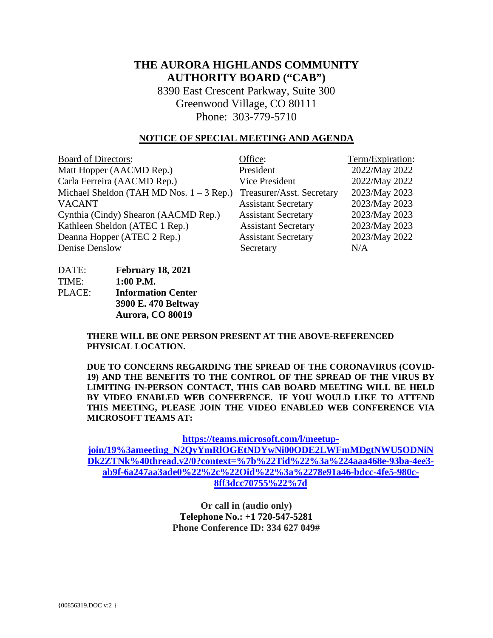# **THE AURORA HIGHLANDS COMMUNITY AUTHORITY BOARD ("CAB")**

8390 East Crescent Parkway, Suite 300 Greenwood Village, CO 80111 Phone: 303-779-5710

#### **NOTICE OF SPECIAL MEETING AND AGENDA**

| <b>Board of Directors:</b>                 | Office:                    | Term/Expiration: |
|--------------------------------------------|----------------------------|------------------|
| Matt Hopper (AACMD Rep.)                   | President                  | 2022/May 2022    |
| Carla Ferreira (AACMD Rep.)                | Vice President             | 2022/May 2022    |
| Michael Sheldon (TAH MD Nos. $1 - 3$ Rep.) | Treasurer/Asst. Secretary  | 2023/May 2023    |
| <b>VACANT</b>                              | <b>Assistant Secretary</b> | 2023/May 2023    |
| Cynthia (Cindy) Shearon (AACMD Rep.)       | <b>Assistant Secretary</b> | 2023/May 2023    |
| Kathleen Sheldon (ATEC 1 Rep.)             | <b>Assistant Secretary</b> | 2023/May 2023    |
| Deanna Hopper (ATEC 2 Rep.)                | <b>Assistant Secretary</b> | 2023/May 2022    |
| Denise Denslow                             | Secretary                  | N/A              |

| DATE:  | <b>February 18, 2021</b>  |
|--------|---------------------------|
| TIME:  | $1:00$ P.M.               |
| PLACE: | <b>Information Center</b> |
|        | 3900 E. 470 Beltway       |
|        | Aurora, CO 80019          |

**THERE WILL BE ONE PERSON PRESENT AT THE ABOVE-REFERENCED** 

**PHYSICAL LOCATION.**

**DUE TO CONCERNS REGARDING THE SPREAD OF THE CORONAVIRUS (COVID-19) AND THE BENEFITS TO THE CONTROL OF THE SPREAD OF THE VIRUS BY LIMITING IN-PERSON CONTACT, THIS CAB BOARD MEETING WILL BE HELD BY VIDEO ENABLED WEB CONFERENCE. IF YOU WOULD LIKE TO ATTEND THIS MEETING, PLEASE JOIN THE VIDEO ENABLED WEB CONFERENCE VIA MICROSOFT TEAMS AT:**

**[https://teams.microsoft.com/l/meetup-](https://teams.microsoft.com/l/meetup-join/19%3ameeting_N2QyYmRlOGEtNDYwNi00ODE2LWFmMDgtNWU5ODNiNDk2ZTNk%40thread.v2/0?context=%7b%22Tid%22%3a%224aaa468e-93ba-4ee3-ab9f-6a247aa3ade0%22%2c%22Oid%22%3a%2278e91a46-bdcc-4fe5-980c-8ff3dcc70755%22%7d)**

**[join/19%3ameeting\\_N2QyYmRlOGEtNDYwNi00ODE2LWFmMDgtNWU5ODNiN](https://teams.microsoft.com/l/meetup-join/19%3ameeting_N2QyYmRlOGEtNDYwNi00ODE2LWFmMDgtNWU5ODNiNDk2ZTNk%40thread.v2/0?context=%7b%22Tid%22%3a%224aaa468e-93ba-4ee3-ab9f-6a247aa3ade0%22%2c%22Oid%22%3a%2278e91a46-bdcc-4fe5-980c-8ff3dcc70755%22%7d) [Dk2ZTNk%40thread.v2/0?context=%7b%22Tid%22%3a%224aaa468e-93ba-4ee3](https://teams.microsoft.com/l/meetup-join/19%3ameeting_N2QyYmRlOGEtNDYwNi00ODE2LWFmMDgtNWU5ODNiNDk2ZTNk%40thread.v2/0?context=%7b%22Tid%22%3a%224aaa468e-93ba-4ee3-ab9f-6a247aa3ade0%22%2c%22Oid%22%3a%2278e91a46-bdcc-4fe5-980c-8ff3dcc70755%22%7d) [ab9f-6a247aa3ade0%22%2c%22Oid%22%3a%2278e91a46-bdcc-4fe5-980c-](https://teams.microsoft.com/l/meetup-join/19%3ameeting_N2QyYmRlOGEtNDYwNi00ODE2LWFmMDgtNWU5ODNiNDk2ZTNk%40thread.v2/0?context=%7b%22Tid%22%3a%224aaa468e-93ba-4ee3-ab9f-6a247aa3ade0%22%2c%22Oid%22%3a%2278e91a46-bdcc-4fe5-980c-8ff3dcc70755%22%7d)[8ff3dcc70755%22%7d](https://teams.microsoft.com/l/meetup-join/19%3ameeting_N2QyYmRlOGEtNDYwNi00ODE2LWFmMDgtNWU5ODNiNDk2ZTNk%40thread.v2/0?context=%7b%22Tid%22%3a%224aaa468e-93ba-4ee3-ab9f-6a247aa3ade0%22%2c%22Oid%22%3a%2278e91a46-bdcc-4fe5-980c-8ff3dcc70755%22%7d)**

> **Or call in (audio only) Telephone No.: [+1 720-547-5281](tel:+17205475281,,334627049#%20) Phone Conference ID: 334 627 049#**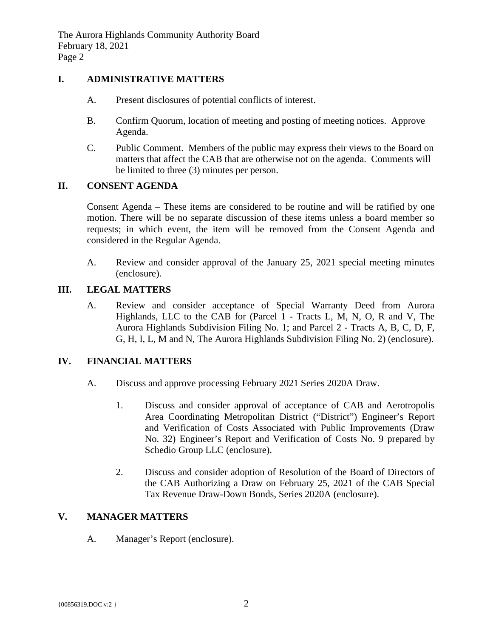### **I. ADMINISTRATIVE MATTERS**

- A. Present disclosures of potential conflicts of interest.
- B. Confirm Quorum, location of meeting and posting of meeting notices. Approve Agenda.
- C. Public Comment. Members of the public may express their views to the Board on matters that affect the CAB that are otherwise not on the agenda. Comments will be limited to three (3) minutes per person.

### **II. CONSENT AGENDA**

Consent Agenda – These items are considered to be routine and will be ratified by one motion. There will be no separate discussion of these items unless a board member so requests; in which event, the item will be removed from the Consent Agenda and considered in the Regular Agenda.

A. Review and consider approval of the January 25, 2021 special meeting minutes (enclosure).

### **III. LEGAL MATTERS**

A. Review and consider acceptance of Special Warranty Deed from Aurora Highlands, LLC to the CAB for (Parcel 1 - Tracts L, M, N, O, R and V, The Aurora Highlands Subdivision Filing No. 1; and Parcel 2 - Tracts A, B, C, D, F, G, H, I, L, M and N, The Aurora Highlands Subdivision Filing No. 2) (enclosure).

# **IV. FINANCIAL MATTERS**

- A. Discuss and approve processing February 2021 Series 2020A Draw.
	- 1. Discuss and consider approval of acceptance of CAB and Aerotropolis Area Coordinating Metropolitan District ("District") Engineer's Report and Verification of Costs Associated with Public Improvements (Draw No. 32) Engineer's Report and Verification of Costs No. 9 prepared by Schedio Group LLC (enclosure).
	- 2. Discuss and consider adoption of Resolution of the Board of Directors of the CAB Authorizing a Draw on February 25, 2021 of the CAB Special Tax Revenue Draw-Down Bonds, Series 2020A (enclosure).

# **V. MANAGER MATTERS**

A. Manager's Report (enclosure).